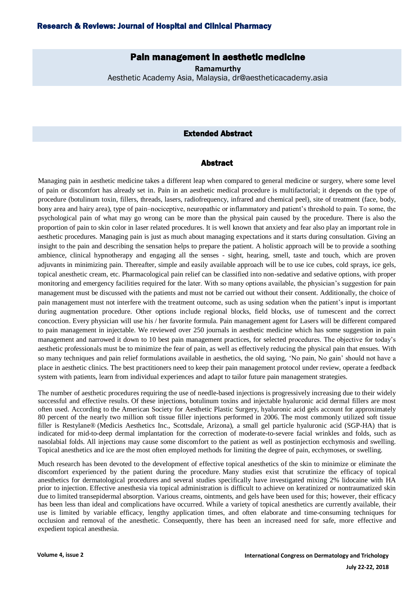# Pain management in aesthetic medicine

**Ramamurthy** Aesthetic Academy Asia, Malaysia, dr@aestheticacademy.asia

### Extended Abstract

#### Abstract

Managing pain in aesthetic medicine takes a different leap when compared to general medicine or surgery, where some level of pain or discomfort has already set in. Pain in an aesthetic medical procedure is multifactorial; it depends on the type of procedure (botulinum toxin, fillers, threads, lasers, radiofrequency, infrared and chemical peel), site of treatment (face, body, bony area and hairy area), type of pain–nociceptive, neuropathic or inflammatory and patient's threshold to pain. To some, the psychological pain of what may go wrong can be more than the physical pain caused by the procedure. There is also the proportion of pain to skin color in laser related procedures. It is well known that anxiety and fear also play an important role in aesthetic procedures. Managing pain is just as much about managing expectations and it starts during consultation. Giving an insight to the pain and describing the sensation helps to prepare the patient. A holistic approach will be to provide a soothing ambience, clinical hypnotherapy and engaging all the senses - sight, hearing, smell, taste and touch, which are proven adjuvants in minimizing pain. Thereafter, simple and easily available approach will be to use ice cubes, cold sprays, ice gels, topical anesthetic cream, etc. Pharmacological pain relief can be classified into non-sedative and sedative options, with proper monitoring and emergency facilities required for the later. With so many options available, the physician's suggestion for pain management must be discussed with the patients and must not be carried out without their consent. Additionally, the choice of pain management must not interfere with the treatment outcome, such as using sedation when the patient's input is important during augmentation procedure. Other options include regional blocks, field blocks, use of tumescent and the correct concoction. Every physician will use his / her favorite formula. Pain management agent for Lasers will be different compared to pain management in injectable. We reviewed over 250 journals in aesthetic medicine which has some suggestion in pain management and narrowed it down to 10 best pain management practices, for selected procedures. The objective for today's aesthetic professionals must be to minimize the fear of pain, as well as effectively reducing the physical pain that ensues. With so many techniques and pain relief formulations available in aesthetics, the old saying, 'No pain, No gain' should not have a place in aesthetic clinics. The best practitioners need to keep their pain management protocol under review, operate a feedback system with patients, learn from individual experiences and adapt to tailor future pain management strategies.

The number of aesthetic procedures requiring the use of needle-based injections is progressively increasing due to their widely successful and effective results. Of these injections, botulinum toxins and injectable hyaluronic acid dermal fillers are most often used. According to the American Society for Aesthetic Plastic Surgery, hyaluronic acid gels account for approximately 80 percent of the nearly two million soft tissue filler injections performed in 2006. The most commonly utilized soft tissue filler is Restylane® (Medicis Aesthetics Inc., Scottsdale, Arizona), a small gel particle hyaluronic acid (SGP-HA) that is indicated for mid-to-deep dermal implantation for the correction of moderate-to-severe facial wrinkles and folds, such as nasolabial folds. All injections may cause some discomfort to the patient as well as postinjection ecchymosis and swelling. Topical anesthetics and ice are the most often employed methods for limiting the degree of pain, ecchymoses, or swelling.

Much research has been devoted to the development of effective topical anesthetics of the skin to minimize or eliminate the discomfort experienced by the patient during the procedure. Many studies exist that scrutinize the efficacy of topical anesthetics for dermatological procedures and several studies specifically have investigated mixing 2% lidocaine with HA prior to injection. Effective anesthesia via topical administration is difficult to achieve on keratinized or nontraumatized skin due to limited transepidermal absorption. Various creams, ointments, and gels have been used for this; however, their efficacy has been less than ideal and complications have occurred. While a variety of topical anesthetics are currently available, their use is limited by variable efficacy, lengthy application times, and often elaborate and time-consuming techniques for occlusion and removal of the anesthetic. Consequently, there has been an increased need for safe, more effective and expedient topical anesthesia.